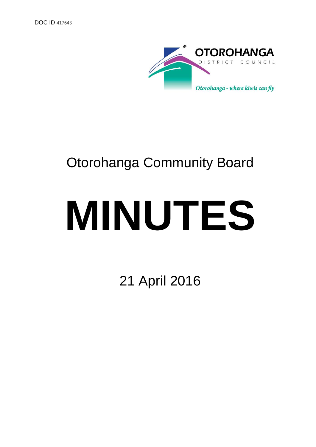

# Otorohanga Community Board

# **MINUTES**

21 April 2016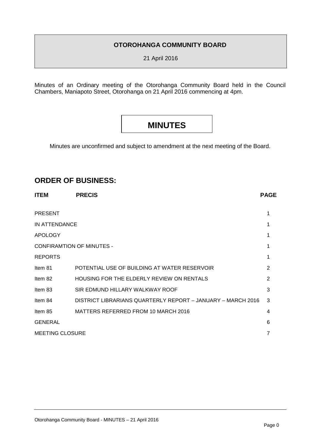## **OTOROHANGA COMMUNITY BOARD**

21 April 2016

Minutes of an Ordinary meeting of the Otorohanga Community Board held in the Council Chambers, Maniapoto Street, Otorohanga on 21 April 2016 commencing at 4pm.

# **MINUTES**

Minutes are unconfirmed and subject to amendment at the next meeting of the Board.

# **ORDER OF BUSINESS:**

| <b>ITEM</b>                      | <b>PRECIS</b>                                               | <b>PAGE</b>    |
|----------------------------------|-------------------------------------------------------------|----------------|
| <b>PRESENT</b>                   |                                                             | 1              |
| IN ATTENDANCE                    |                                                             |                |
| <b>APOLOGY</b>                   |                                                             |                |
| <b>CONFIRAMTION OF MINUTES -</b> |                                                             |                |
| <b>REPORTS</b>                   |                                                             |                |
| Item 81                          | POTENTIAL USE OF BUILDING AT WATER RESERVOIR                | 2              |
| Item 82                          | <b>HOUSING FOR THE ELDERLY REVIEW ON RENTALS</b>            | $\overline{2}$ |
| Item 83                          | SIR EDMUND HILLARY WALKWAY ROOF                             | 3              |
| Item 84                          | DISTRICT LIBRARIANS QUARTERLY REPORT - JANUARY - MARCH 2016 | 3              |
| Item 85                          | MATTERS REFERRED FROM 10 MARCH 2016                         | 4              |
| <b>GENERAL</b>                   |                                                             | 6              |
| <b>MEETING CLOSURE</b>           |                                                             |                |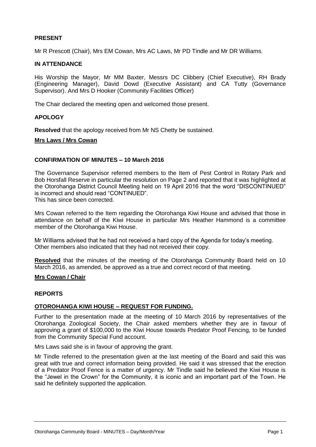#### **PRESENT**

Mr R Prescott (Chair), Mrs EM Cowan, Mrs AC Laws, Mr PD Tindle and Mr DR Williams.

#### **IN ATTENDANCE**

His Worship the Mayor, Mr MM Baxter, Messrs DC Clibbery (Chief Executive), RH Brady (Engineering Manager), David Dowd (Executive Assistant) and CA Tutty (Governance Supervisor). And Mrs D Hooker (Community Facilities Officer)

The Chair declared the meeting open and welcomed those present.

#### **APOLOGY**

**Resolved** that the apology received from Mr NS Chetty be sustained.

#### **Mrs Laws / Mrs Cowan**

#### **CONFIRMATION OF MINUTES – 10 March 2016**

The Governance Supervisor referred members to the Item of Pest Control in Rotary Park and Bob Horsfall Reserve in particular the resolution on Page 2 and reported that it was highlighted at the Otorohanga District Council Meeting held on 19 April 2016 that the word "DISCONTINUED" is incorrect and should read "CONTINUED".

This has since been corrected.

Mrs Cowan referred to the Item regarding the Otorohanga Kiwi House and advised that those in attendance on behalf of the Kiwi House in particular Mrs Heather Hammond is a committee member of the Otorohanga Kiwi House.

Mr Williams advised that he had not received a hard copy of the Agenda for today's meeting. Other members also indicated that they had not received their copy.

**Resolved** that the minutes of the meeting of the Otorohanga Community Board held on 10 March 2016, as amended, be approved as a true and correct record of that meeting.

#### **Mrs Cowan / Chair**

#### **REPORTS**

#### **OTOROHANGA KIWI HOUSE – REQUEST FOR FUNDING.**

Further to the presentation made at the meeting of 10 March 2016 by representatives of the Otorohanga Zoological Society, the Chair asked members whether they are in favour of approving a grant of \$100,000 to the Kiwi House towards Predator Proof Fencing, to be funded from the Community Special Fund account.

Mrs Laws said she is in favour of approving the grant.

Mr Tindle referred to the presentation given at the last meeting of the Board and said this was great with true and correct information being provided. He said it was stressed that the erection of a Predator Proof Fence is a matter of urgency. Mr Tindle said he believed the Kiwi House is the "Jewel in the Crown" for the Community, it is iconic and an important part of the Town. He said he definitely supported the application.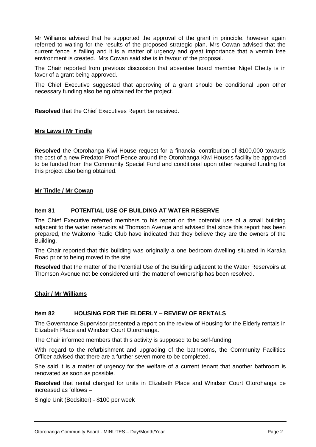Mr Williams advised that he supported the approval of the grant in principle, however again referred to waiting for the results of the proposed strategic plan. Mrs Cowan advised that the current fence is failing and it is a matter of urgency and great importance that a vermin free environment is created. Mrs Cowan said she is in favour of the proposal.

The Chair reported from previous discussion that absentee board member Nigel Chetty is in favor of a grant being approved.

The Chief Executive suggested that approving of a grant should be conditional upon other necessary funding also being obtained for the project.

**Resolved** that the Chief Executives Report be received.

#### **Mrs Laws / Mr Tindle**

**Resolved** the Otorohanga Kiwi House request for a financial contribution of \$100,000 towards the cost of a new Predator Proof Fence around the Otorohanga Kiwi Houses facility be approved to be funded from the Community Special Fund and conditional upon other required funding for this project also being obtained.

#### **Mr Tindle / Mr Cowan**

#### **Item 81 POTENTIAL USE OF BUILDING AT WATER RESERVE**

The Chief Executive referred members to his report on the potential use of a small building adjacent to the water reservoirs at Thomson Avenue and advised that since this report has been prepared, the Waitomo Radio Club have indicated that they believe they are the owners of the Building.

The Chair reported that this building was originally a one bedroom dwelling situated in Karaka Road prior to being moved to the site.

**Resolved** that the matter of the Potential Use of the Building adjacent to the Water Reservoirs at Thomson Avenue not be considered until the matter of ownership has been resolved.

#### **Chair / Mr Williams**

#### **Item 82 HOUSING FOR THE ELDERLY – REVIEW OF RENTALS**

The Governance Supervisor presented a report on the review of Housing for the Elderly rentals in Elizabeth Place and Windsor Court Otorohanga.

The Chair informed members that this activity is supposed to be self-funding.

With regard to the refurbishment and upgrading of the bathrooms, the Community Facilities Officer advised that there are a further seven more to be completed.

She said it is a matter of urgency for the welfare of a current tenant that another bathroom is renovated as soon as possible.

**Resolved** that rental charged for units in Elizabeth Place and Windsor Court Otorohanga be increased as follows –

Single Unit (Bedsitter) - \$100 per week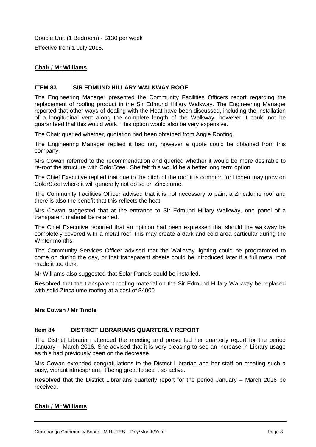Double Unit (1 Bedroom) - \$130 per week Effective from 1 July 2016.

#### **Chair / Mr Williams**

#### **ITEM 83 SIR EDMUND HILLARY WALKWAY ROOF**

The Engineering Manager presented the Community Facilities Officers report regarding the replacement of roofing product in the Sir Edmund Hillary Walkway. The Engineering Manager reported that other ways of dealing with the Heat have been discussed, including the installation of a longitudinal vent along the complete length of the Walkway, however it could not be guaranteed that this would work. This option would also be very expensive.

The Chair queried whether, quotation had been obtained from Angle Roofing.

The Engineering Manager replied it had not, however a quote could be obtained from this company.

Mrs Cowan referred to the recommendation and queried whether it would be more desirable to re-roof the structure with ColorSteel. She felt this would be a better long term option.

The Chief Executive replied that due to the pitch of the roof it is common for Lichen may grow on ColorSteel where it will generally not do so on Zincalume.

The Community Facilities Officer advised that it is not necessary to paint a Zincalume roof and there is also the benefit that this reflects the heat.

Mrs Cowan suggested that at the entrance to Sir Edmund Hillary Walkway, one panel of a transparent material be retained.

The Chief Executive reported that an opinion had been expressed that should the walkway be completely covered with a metal roof, this may create a dark and cold area particular during the Winter months.

The Community Services Officer advised that the Walkway lighting could be programmed to come on during the day, or that transparent sheets could be introduced later if a full metal roof made it too dark.

Mr Williams also suggested that Solar Panels could be installed.

**Resolved** that the transparent roofing material on the Sir Edmund Hillary Walkway be replaced with solid Zincalume roofing at a cost of \$4000.

#### **Mrs Cowan / Mr Tindle**

#### **Item 84 DISTRICT LIBRARIANS QUARTERLY REPORT**

The District Librarian attended the meeting and presented her quarterly report for the period January – March 2016. She advised that it is very pleasing to see an increase in Library usage as this had previously been on the decrease.

Mrs Cowan extended congratulations to the District Librarian and her staff on creating such a busy, vibrant atmosphere, it being great to see it so active.

**Resolved** that the District Librarians quarterly report for the period January – March 2016 be received.

#### **Chair / Mr Williams**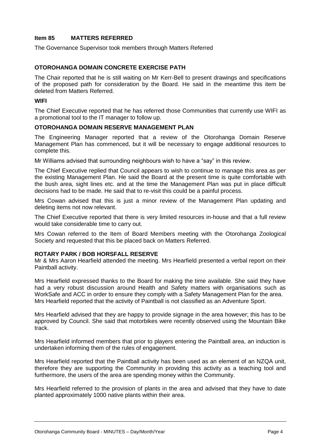#### **Item 85 MATTERS REFERRED**

The Governance Supervisor took members through Matters Referred

#### **OTOROHANGA DOMAIN CONCRETE EXERCISE PATH**

The Chair reported that he is still waiting on Mr Kerr-Bell to present drawings and specifications of the proposed path for consideration by the Board. He said in the meantime this item be deleted from Matters Referred.

#### **WIFI**

The Chief Executive reported that he has referred those Communities that currently use WIFI as a promotional tool to the IT manager to follow up.

#### **OTOROHANGA DOMAIN RESERVE MANAGEMENT PLAN**

The Engineering Manager reported that a review of the Otorohanga Domain Reserve Management Plan has commenced, but it will be necessary to engage additional resources to complete this.

Mr Williams advised that surrounding neighbours wish to have a "say" in this review.

The Chief Executive replied that Council appears to wish to continue to manage this area as per the existing Management Plan. He said the Board at the present time is quite comfortable with the bush area, sight lines etc. and at the time the Management Plan was put in place difficult decisions had to be made. He said that to re-visit this could be a painful process.

Mrs Cowan advised that this is just a minor review of the Management Plan updating and deleting items not now relevant.

The Chief Executive reported that there is very limited resources in-house and that a full review would take considerable time to carry out.

Mrs Cowan referred to the Item of Board Members meeting with the Otorohanga Zoological Society and requested that this be placed back on Matters Referred.

#### **ROTARY PARK / BOB HORSFALL RESERVE**

Mr & Mrs Aaron Hearfield attended the meeting. Mrs Hearfield presented a verbal report on their Paintball activity.

Mrs Hearfield expressed thanks to the Board for making the time available. She said they have had a very robust discussion around Health and Safety matters with organisations such as WorkSafe and ACC in order to ensure they comply with a Safety Management Plan for the area. Mrs Hearfield reported that the activity of Paintball is not classified as an Adventure Sport.

Mrs Hearfield advised that they are happy to provide signage in the area however; this has to be approved by Council. She said that motorbikes were recently observed using the Mountain Bike track.

Mrs Hearfield informed members that prior to players entering the Paintball area, an induction is undertaken informing them of the rules of engagement.

Mrs Hearfield reported that the Paintball activity has been used as an element of an NZQA unit, therefore they are supporting the Community in providing this activity as a teaching tool and furthermore, the users of the area are spending money within the Community.

Mrs Hearfield referred to the provision of plants in the area and advised that they have to date planted approximately 1000 native plants within their area.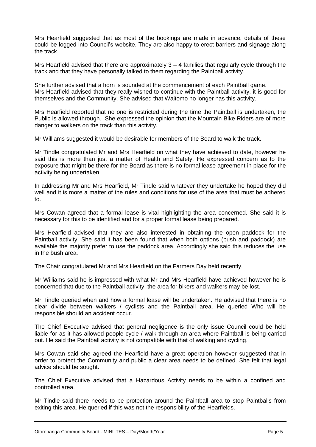Mrs Hearfield suggested that as most of the bookings are made in advance, details of these could be logged into Council's website. They are also happy to erect barriers and signage along the track.

Mrs Hearfield advised that there are approximately  $3 - 4$  families that regularly cycle through the track and that they have personally talked to them regarding the Paintball activity.

She further advised that a horn is sounded at the commencement of each Paintball game. Mrs Hearfield advised that they really wished to continue with the Paintball activity, it is good for themselves and the Community. She advised that Waitomo no longer has this activity.

Mrs Hearfield reported that no one is restricted during the time the Paintball is undertaken, the Public is allowed through. She expressed the opinion that the Mountain Bike Riders are of more danger to walkers on the track than this activity.

Mr Williams suggested it would be desirable for members of the Board to walk the track.

Mr Tindle congratulated Mr and Mrs Hearfield on what they have achieved to date, however he said this is more than just a matter of Health and Safety. He expressed concern as to the exposure that might be there for the Board as there is no formal lease agreement in place for the activity being undertaken.

In addressing Mr and Mrs Hearfield, Mr Tindle said whatever they undertake he hoped they did well and it is more a matter of the rules and conditions for use of the area that must be adhered to.

Mrs Cowan agreed that a formal lease is vital highlighting the area concerned. She said it is necessary for this to be identified and for a proper formal lease being prepared.

Mrs Hearfield advised that they are also interested in obtaining the open paddock for the Paintball activity. She said it has been found that when both options (bush and paddock) are available the majority prefer to use the paddock area. Accordingly she said this reduces the use in the bush area.

The Chair congratulated Mr and Mrs Hearfield on the Farmers Day held recently.

Mr Williams said he is impressed with what Mr and Mrs Hearfield have achieved however he is concerned that due to the Paintball activity, the area for bikers and walkers may be lost.

Mr Tindle queried when and how a formal lease will be undertaken. He advised that there is no clear divide between walkers / cyclists and the Paintball area. He queried Who will be responsible should an accident occur.

The Chief Executive advised that general negligence is the only issue Council could be held liable for as it has allowed people cycle / walk through an area where Paintball is being carried out. He said the Paintball activity is not compatible with that of walking and cycling.

Mrs Cowan said she agreed the Hearfield have a great operation however suggested that in order to protect the Community and public a clear area needs to be defined. She felt that legal advice should be sought.

The Chief Executive advised that a Hazardous Activity needs to be within a confined and controlled area.

Mr Tindle said there needs to be protection around the Paintball area to stop Paintballs from exiting this area. He queried if this was not the responsibility of the Hearfields.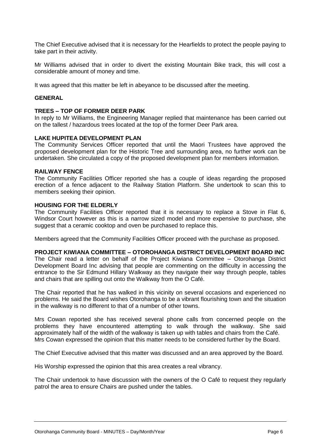The Chief Executive advised that it is necessary for the Hearfields to protect the people paying to take part in their activity.

Mr Williams advised that in order to divert the existing Mountain Bike track, this will cost a considerable amount of money and time.

It was agreed that this matter be left in abeyance to be discussed after the meeting.

#### **GENERAL**

#### **TREES – TOP OF FORMER DEER PARK**

In reply to Mr Williams, the Engineering Manager replied that maintenance has been carried out on the tallest / hazardous trees located at the top of the former Deer Park area.

#### **LAKE HUPITEA DEVELOPMENT PLAN**

The Community Services Officer reported that until the Maori Trustees have approved the proposed development plan for the Historic Tree and surrounding area, no further work can be undertaken. She circulated a copy of the proposed development plan for members information.

#### **RAILWAY FENCE**

The Community Facilities Officer reported she has a couple of ideas regarding the proposed erection of a fence adjacent to the Railway Station Platform. She undertook to scan this to members seeking their opinion.

#### **HOUSING FOR THE ELDERLY**

The Community Facilities Officer reported that it is necessary to replace a Stove in Flat 6, Windsor Court however as this is a narrow sized model and more expensive to purchase, she suggest that a ceramic cooktop and oven be purchased to replace this.

Members agreed that the Community Facilities Officer proceed with the purchase as proposed.

#### **PROJECT KIWIANA COMMITTEE – OTOROHANGA DISTRICT DEVELOPMENT BOARD INC**

The Chair read a letter on behalf of the Project Kiwiana Committee – Otorohanga District Development Board Inc advising that people are commenting on the difficulty in accessing the entrance to the Sir Edmund Hillary Walkway as they navigate their way through people, tables and chairs that are spilling out onto the Walkway from the O Café.

The Chair reported that he has walked in this vicinity on several occasions and experienced no problems. He said the Board wishes Otorohanga to be a vibrant flourishing town and the situation in the walkway is no different to that of a number of other towns.

Mrs Cowan reported she has received several phone calls from concerned people on the problems they have encountered attempting to walk through the walkway. She said approximately half of the width of the walkway is taken up with tables and chairs from the Café. Mrs Cowan expressed the opinion that this matter needs to be considered further by the Board.

The Chief Executive advised that this matter was discussed and an area approved by the Board.

His Worship expressed the opinion that this area creates a real vibrancy.

The Chair undertook to have discussion with the owners of the O Café to request they regularly patrol the area to ensure Chairs are pushed under the tables.